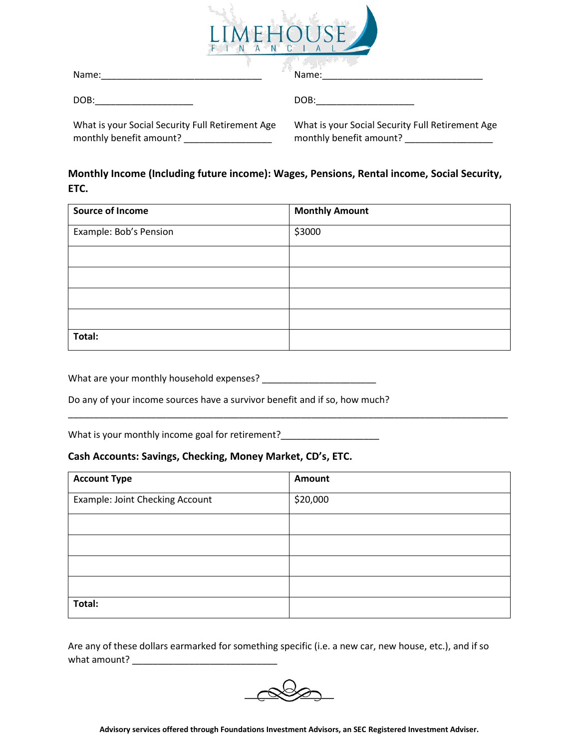

| Name:                                            | Name:                                            |  |
|--------------------------------------------------|--------------------------------------------------|--|
| DOB:                                             | DOB:                                             |  |
| What is your Social Security Full Retirement Age | What is your Social Security Full Retirement Age |  |

### **Monthly Income (Including future income): Wages, Pensions, Rental income, Social Security, ETC.**

monthly benefit amount? \_\_\_\_\_\_\_\_\_\_\_\_\_\_\_\_\_

| <b>Source of Income</b> | <b>Monthly Amount</b> |
|-------------------------|-----------------------|
| Example: Bob's Pension  | \$3000                |
|                         |                       |
|                         |                       |
|                         |                       |
|                         |                       |
| Total:                  |                       |

What are your monthly household expenses? \_\_\_\_\_\_\_\_\_\_\_\_\_\_\_\_\_\_\_\_\_\_

Do any of your income sources have a survivor benefit and if so, how much?

What is your monthly income goal for retirement?\_\_\_\_\_\_\_\_\_\_\_\_\_\_\_\_\_\_\_\_\_\_\_\_\_\_\_\_\_\_\_\_

monthly benefit amount? \_\_\_\_\_\_\_\_\_\_\_\_\_\_\_\_\_\_\_\_

#### **Cash Accounts: Savings, Checking, Money Market, CD's, ETC.**

| <b>Account Type</b>             | Amount   |
|---------------------------------|----------|
| Example: Joint Checking Account | \$20,000 |
|                                 |          |
|                                 |          |
|                                 |          |
|                                 |          |
| Total:                          |          |

\_\_\_\_\_\_\_\_\_\_\_\_\_\_\_\_\_\_\_\_\_\_\_\_\_\_\_\_\_\_\_\_\_\_\_\_\_\_\_\_\_\_\_\_\_\_\_\_\_\_\_\_\_\_\_\_\_\_\_\_\_\_\_\_\_\_\_\_\_\_\_\_\_\_\_\_\_\_\_\_\_\_\_\_\_

Are any of these dollars earmarked for something specific (i.e. a new car, new house, etc.), and if so what amount?

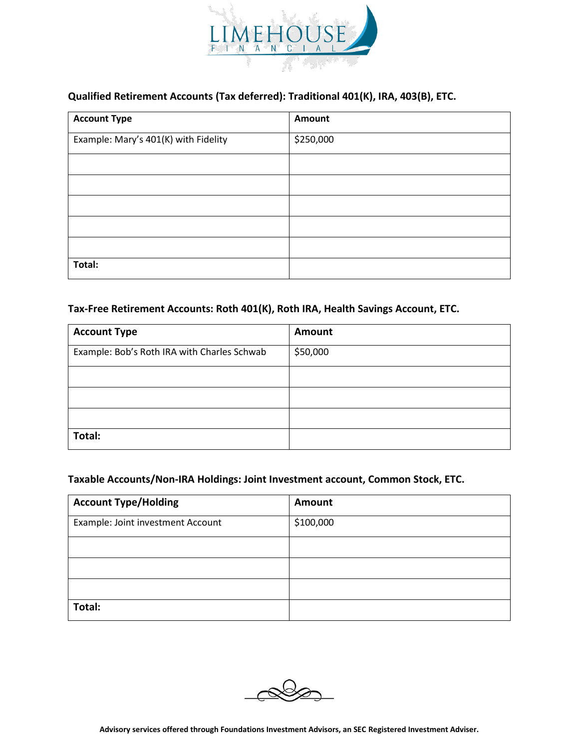

## **Qualified Retirement Accounts (Tax deferred): Traditional 401(K), IRA, 403(B), ETC.**

| <b>Account Type</b>                  | Amount    |
|--------------------------------------|-----------|
| Example: Mary's 401(K) with Fidelity | \$250,000 |
|                                      |           |
|                                      |           |
|                                      |           |
|                                      |           |
|                                      |           |
| Total:                               |           |

#### **Tax-Free Retirement Accounts: Roth 401(K), Roth IRA, Health Savings Account, ETC.**

| <b>Account Type</b>                         | Amount   |
|---------------------------------------------|----------|
| Example: Bob's Roth IRA with Charles Schwab | \$50,000 |
|                                             |          |
|                                             |          |
|                                             |          |
| Total:                                      |          |

#### **Taxable Accounts/Non-IRA Holdings: Joint Investment account, Common Stock, ETC.**

| <b>Account Type/Holding</b>       | <b>Amount</b> |
|-----------------------------------|---------------|
| Example: Joint investment Account | \$100,000     |
|                                   |               |
|                                   |               |
|                                   |               |
| Total:                            |               |